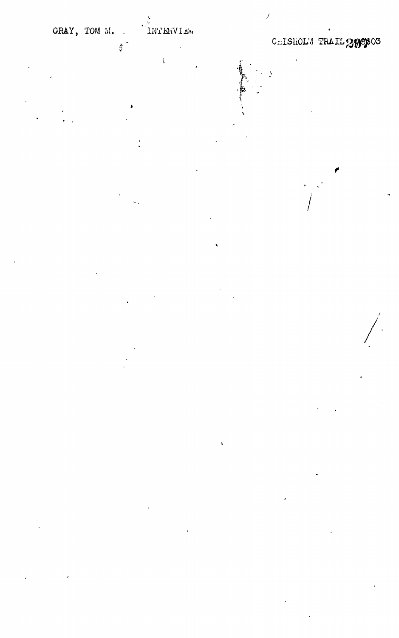$\frac{1}{2}$  .

 $\mathbf{t}$ 

CHISHOLM TRAIL 28503

 $\bar{\mathbf{t}}$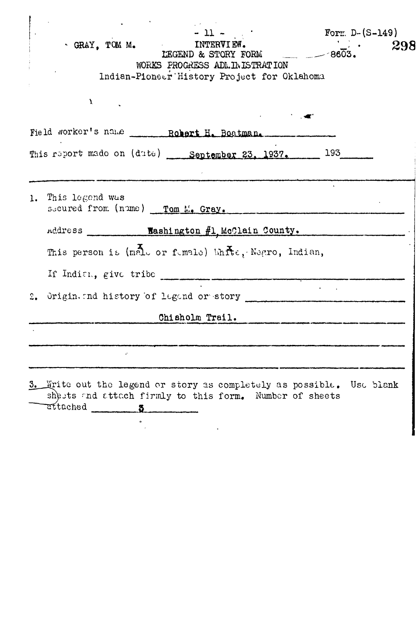| $-11 -$<br>Form $D - (S-149)$<br><b>INTERVIEW.</b><br>$\cdot$ GRAY, TOM M.<br>298<br>$- 8603.$<br>LEGEND & STORY FORM<br>WORKS PROGRESS ADMINISTRATION<br>Indian-Pioneer History Project for Oklahoma |
|-------------------------------------------------------------------------------------------------------------------------------------------------------------------------------------------------------|
| X                                                                                                                                                                                                     |
| Field worker's name __________ Robert H. Boatman.                                                                                                                                                     |
| This report made on (date) September 23, 1937. 193                                                                                                                                                    |
|                                                                                                                                                                                                       |
| 1. This legend was<br>secured from (nume) __ Tom M. Gray.                                                                                                                                             |
| Address Mashington #1 McClain County.                                                                                                                                                                 |
| This person is (malo or fumale) Whre, Negro, Indian,                                                                                                                                                  |
|                                                                                                                                                                                                       |
|                                                                                                                                                                                                       |
| Chisholm Trail.                                                                                                                                                                                       |
|                                                                                                                                                                                                       |
|                                                                                                                                                                                                       |
|                                                                                                                                                                                                       |
| 3. Write out the legend or story as completely as possible. Use blank<br>shests and attach firmly to this form. Number of sheets<br>attached 5                                                        |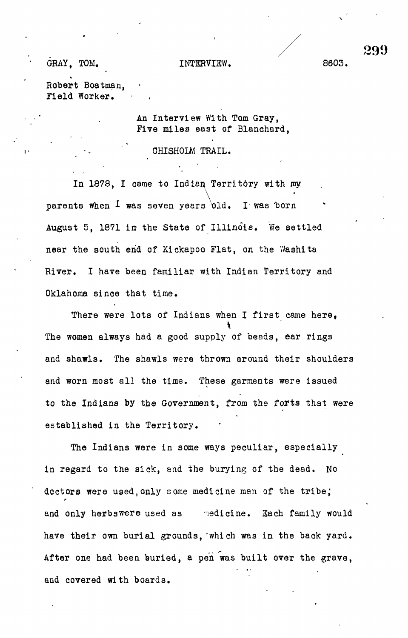GOOD. INTERVIEW. COOP.

Robert Boatman, Field Worker.

> An Interview With Tom Gray, Five miles east of Blanchard,

> > CHISHOLM TRAIL.

In 1878, I came to Indian Territ6ry with my parents when  $I$  was seven years old. I was born August 5, 1871 in the State of Illinois. We settled near the south end of Kickapoo Flat, on the Y/ashita River. I have been familiar with Indian Territory and Oklahoma since that time.

There were lots of Indians when I first came here. The women always had a good supply of beads, ear rings and shawls. The shawls were thrown around their shoulders and worn most all the time. These garments were issued to the Indians by the Government, from the forts that were established in the Territory.

The Indians were in some ways peculiar, especially in regard to the sick, end the burying of the dead. No doctors were used, only some medicine man of the tribe; and only herbswere used as yedicine. Each family would have their own burial grounds, 'which was in the baok yard. After one had been buried, a pen was built over the grave, and covered with boards.

299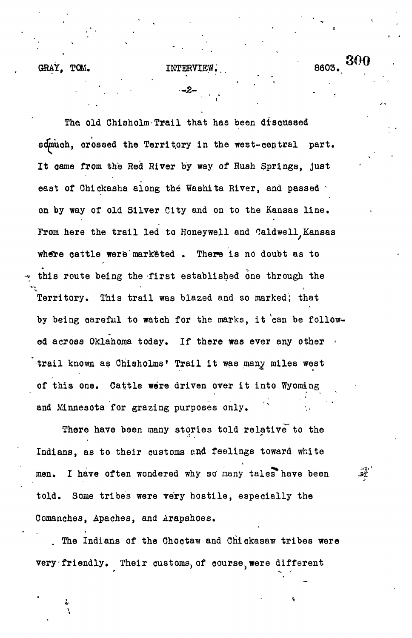## GRAY, TOM. INTERVIEW. 8603.

Tha old Chisholm-Trail that has been discussed sdmuch, crossed the Territory in the west-central part. It oame from the Red River by way of Rush Springs, just east of Chickasha along the Washita River, and passed · on by way of old Silver City and on to the Kansas line. From here the trail led to Honeywell and Caldwell Kansas where cattle were marketed . There is no doubt as to this route being the -first established one through the Territory. This trail was blazed and so marked; that by being oareful to watch for the marks, it 'can be followed across Oklahoma today. If there was ever any other trail known as Chisholms\* Trail it was many miles west of this one. Cattle were driven over it into Wyoming and Minnesota for grazing purposes only.

There have been many stories told relative to the Indians, as to their customs and feelings toward white men. I have often wondered why so many tales have been told. Some tribes were very hostile, especially the Comanches, Apaches, and Arapahoes.

The Indians of the Chootaw and Chickasaw tribes were very friendly. Their customs, of course, were different

 $\mathcal{M}$